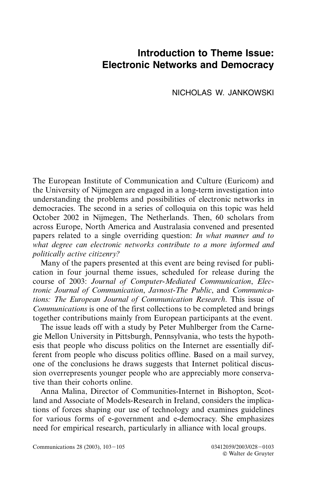## **Introduction to Theme Issue: Electronic Networks and Democracy**

NICHOLAS W. JANKOWSKI

The European Institute of Communication and Culture (Euricom) and the University of Nijmegen are engaged in a long-term investigation into understanding the problems and possibilities of electronic networks in democracies. The second in a series of colloquia on this topic was held October 2002 in Nijmegen, The Netherlands. Then, 60 scholars from across Europe, North America and Australasia convened and presented papers related to a single overriding question: *In what manner and to what degree can electronic networks contribute to a more informed and politically active citizenry?*

Many of the papers presented at this event are being revised for publication in four journal theme issues, scheduled for release during the course of 2003: *Journal of Computer-Mediated Communication*, *Electronic Journal of Communication*, *Javnost-The Public*, and *Communications: The European Journal of Communication Research*. This issue of *Communications* is one of the first collections to be completed and brings together contributions mainly from European participants at the event.

The issue leads off with a study by Peter Muhlberger from the Carnegie Mellon University in Pittsburgh, Pennsylvania, who tests the hypothesis that people who discuss politics on the Internet are essentially different from people who discuss politics offline. Based on a mail survey, one of the conclusions he draws suggests that Internet political discussion overrepresents younger people who are appreciably more conservative than their cohorts online.

Anna Malina, Director of Communities-Internet in Bishopton, Scotland and Associate of Models-Research in Ireland, considers the implications of forces shaping our use of technology and examines guidelines for various forms of e-government and e-democracy. She emphasizes need for empirical research, particularly in alliance with local groups.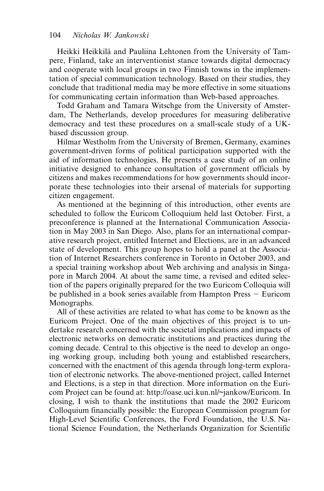Heikki Heikkilä and Pauliina Lehtonen from the University of Tampere, Finland, take an interventionist stance towards digital democracy and cooperate with local groups in two Finnish towns in the implementation of special communication technology. Based on their studies, they conclude that traditional media may be more effective in some situations for communicating certain information than Web-based approaches.

Todd Graham and Tamara Witschge from the University of Amsterdam, The Netherlands, develop procedures for measuring deliberative democracy and test these procedures on a small-scale study of a UKbased discussion group.

Hilmar Westholm from the University of Bremen, Germany, examines government-driven forms of political participation supported with the aid of information technologies. He presents a case study of an online initiative designed to enhance consultation of government officials by citizens and makes recommendations for how governments should incorporate these technologies into their arsenal of materials for supporting citizen engagement.

As mentioned at the beginning of this introduction, other events are scheduled to follow the Euricom Colloquium held last October. First, a preconference is planned at the International Communication Association in May 2003 in San Diego. Also, plans for an international comparative research project, entitled Internet and Elections, are in an advanced state of development. This group hopes to hold a panel at the Association of Internet Researchers conference in Toronto in October 2003, and a special training workshop about Web archiving and analysis in Singapore in March 2004. At about the same time, a revised and edited selection of the papers originally prepared for the two Euricom Colloquia will be published in a book series available from Hampton Press  $-$  Euricom Monographs.

All of these activities are related to what has come to be known as the Euricom Project. One of the main objectives of this project is to undertake research concerned with the societal implications and impacts of electronic networks on democratic institutions and practices during the coming decade. Central to this objective is the need to develop an ongoing working group, including both young and established researchers, concerned with the enactment of this agenda through long-term exploration of electronic networks. The above-mentioned project, called Internet and Elections, is a step in that direction. More information on the Euricom Project can be found at: http://oase.uci.kun.nl/~jankow/Euricom. In closing, I wish to thank the institutions that made the 2002 Euricom Colloquium financially possible: the European Commission program for High-Level Scientific Conferences, the Ford Foundation, the U.S. National Science Foundation, the Netherlands Organization for Scientific